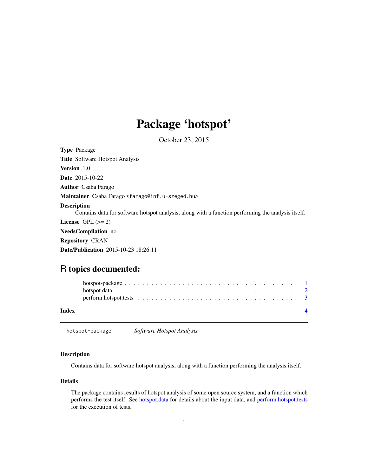## Package 'hotspot'

October 23, 2015

<span id="page-0-0"></span>Type Package Title Software Hotspot Analysis Version 1.0 Date 2015-10-22 Author Csaba Farago Maintainer Csaba Farago <farago@inf.u-szeged.hu> Description Contains data for software hotspot analysis, along with a function performing the analysis itself. License GPL  $(>= 2)$ NeedsCompilation no Repository CRAN Date/Publication 2015-10-23 18:26:11

### R topics documented:

| Index |  |  |  |  |  |  |  |  |  |  |  |  |  |  |  |  |
|-------|--|--|--|--|--|--|--|--|--|--|--|--|--|--|--|--|

hotspot-package *Software Hotspot Analysis*

#### Description

Contains data for software hotspot analysis, along with a function performing the analysis itself.

#### Details

The package contains results of hotspot analysis of some open source system, and a function which performs the test itself. See [hotspot.data](#page-1-1) for details about the input data, and [perform.hotspot.tests](#page-2-1) for the execution of tests.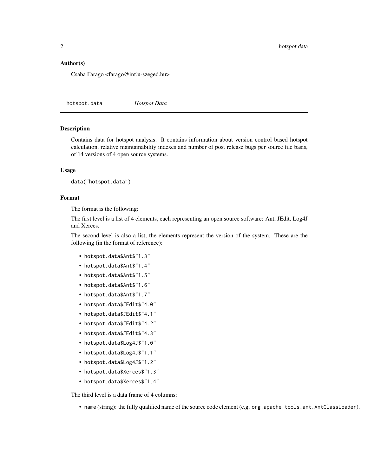#### <span id="page-1-0"></span>Author(s)

Csaba Farago <farago@inf.u-szeged.hu>

<span id="page-1-1"></span>hotspot.data *Hotspot Data*

#### Description

Contains data for hotspot analysis. It contains information about version control based hotspot calculation, relative maintainability indexes and number of post release bugs per source file basis, of 14 versions of 4 open source systems.

#### Usage

```
data("hotspot.data")
```
#### Format

The format is the following:

The first level is a list of 4 elements, each representing an open source software: Ant, JEdit, Log4J and Xerces.

The second level is also a list, the elements represent the version of the system. These are the following (in the format of reference):

- hotspot.data\$Ant\$"1.3"
- hotspot.data\$Ant\$"1.4"
- hotspot.data\$Ant\$"1.5"
- hotspot.data\$Ant\$"1.6"
- hotspot.data\$Ant\$"1.7"
- hotspot.data\$JEdit\$"4.0"
- hotspot.data\$JEdit\$"4.1"
- hotspot.data\$JEdit\$"4.2"
- hotspot.data\$JEdit\$"4.3"
- hotspot.data\$Log4J\$"1.0"
- hotspot.data\$Log4J\$"1.1"
- hotspot.data\$Log4J\$"1.2"
- hotspot.data\$Xerces\$"1.3"
- hotspot.data\$Xerces\$"1.4"

The third level is a data frame of 4 columns:

• name (string): the fully qualified name of the source code element (e.g. org.apache.tools.ant.AntClassLoader).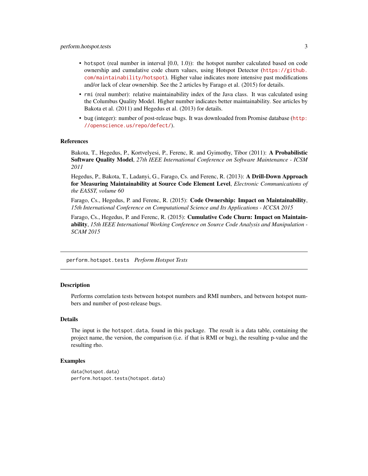- <span id="page-2-0"></span>• hotspot (real number in interval [0.0, 1.0)): the hotspot number calculated based on code ownership and cumulative code churn values, using Hotspot Detector ([https://github.](https://github.com/maintainability/hotspot) [com/maintainability/hotspot](https://github.com/maintainability/hotspot)). Higher value indicates more intensive past modifications and/or lack of clear ownership. See the 2 articles by Farago et al. (2015) for details.
- rmi (real number): relative maintainability index of the Java class. It was calculated using the Columbus Quality Model. Higher number indicates better maintainability. See articles by Bakota et al. (2011) and Hegedus et al. (2013) for details.
- bug (integer): number of post-release bugs. It was downloaded from Promise database ([http:](http://openscience.us/repo/defect/) [//openscience.us/repo/defect/](http://openscience.us/repo/defect/)).

#### References

Bakota, T., Hegedus, P., Kortvelyesi, P., Ferenc, R. and Gyimothy, Tibor (2011): A Probabilistic Software Quality Model, *27th IEEE International Conference on Software Maintenance - ICSM 2011*

Hegedus, P., Bakota, T., Ladanyi, G., Farago, Cs. and Ferenc, R. (2013): A Drill-Down Approach for Measuring Maintainability at Source Code Element Level, *Electronic Communications of the EASST, volume 60*

Farago, Cs., Hegedus, P. and Ferenc, R. (2015): Code Ownership: Impact on Maintainability, *15th International Conference on Computational Science and Its Applications - ICCSA 2015*

Farago, Cs., Hegedus, P. and Ferenc, R. (2015): **Cumulative Code Churn: Impact on Maintain**ability, *15th IEEE International Working Conference on Source Code Analysis and Manipulation - SCAM 2015*

<span id="page-2-1"></span>perform.hotspot.tests *Perform Hotspot Tests*

#### Description

Performs correlation tests between hotspot numbers and RMI numbers, and between hotspot numbers and number of post-release bugs.

#### Details

The input is the hotspot.data, found in this package. The result is a data table, containing the project name, the version, the comparison (i.e. if that is RMI or bug), the resulting p-value and the resulting rho.

#### Examples

```
data(hotspot.data)
perform.hotspot.tests(hotspot.data)
```